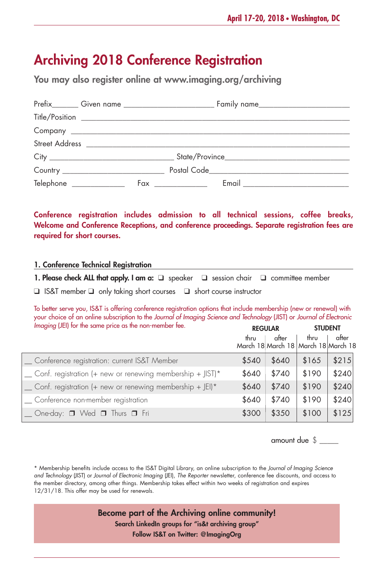# **Archiving 2018 Conference Registration**

**You may also register online at www.imaging.org/archiving**

| Telephone ________________ | $Fax \ \underline{\hspace{2cm}}$ |  |
|----------------------------|----------------------------------|--|

**Conference registration includes admission to all technical sessions, coffee breaks, Welcome and Conference Receptions, and conference proceedings. Separate registration fees are required for short courses.**

### **1. Conference Technical Registration**

**1. Please check ALL that apply. I am a:** ❑ speaker ❑ session chair ❑ committee member

❑ IS&T member ❑ only taking short courses ❑ short course instructor

To better serve you, IS&T is offering conference registration options that include membership (new or renewal) with your choice of an online subscription to the *Journal of Imaging Science and Technology* (JIST) or *Journal of Electronic Imaging* (JEI) for the same price as the non-member fee. **REGULAR STUDENT**

|                                                                  |       | <b>KEUULAK</b> | <b>SIUDENI</b>                              |       |
|------------------------------------------------------------------|-------|----------------|---------------------------------------------|-------|
|                                                                  | thru  | after          | thru<br>March 18 March 18 March 18 March 18 | after |
| _ Conference registration: current IS&T Member                   | \$540 | \$640          | \$165                                       | \$215 |
| $\sum$ Conf. registration (+ new or renewing membership + JIST)* | \$640 | \$740          | \$190                                       | \$240 |
| $\sum$ Conf. registration (+ new or renewing membership + JEI)*  | \$640 | \$740          | \$190                                       | \$240 |
| _ Conference non-member registration                             | \$640 | \$740          | \$190                                       | \$240 |
| $\Box$ One-day: $\Box$ Wed $\Box$ Thurs $\Box$ Fri               | \$300 | \$350          | \$100                                       | \$125 |

amount due \$ \_\_\_\_\_

\* Membership benefits include access to the IS&T Digital Library, an online subscription to the *Journal of Imaging Science and Technology* (JIST) or *Journal of Electronic Imaging* (JEI), *The Reporter* newsletter, conference fee discounts, and access to the member directory, among other things. Membership takes effect within two weeks of registration and expires 12/31/18. This offer may be used for renewals.

> **Become part of the Archiving online community! Search LinkedIn groups for "is&t archiving group" Follow IS&T on Twitter: @ImagingOrg**